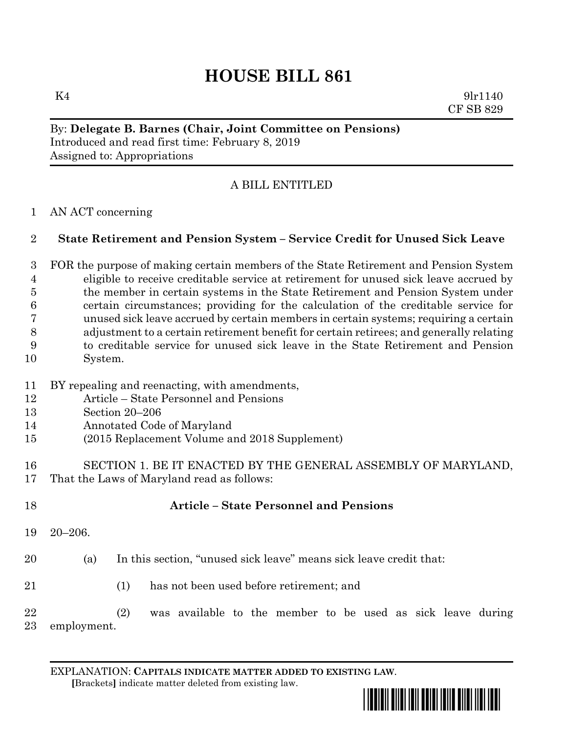# **HOUSE BILL 861**

 $K4$  9lr1140 CF SB 829

## By: **Delegate B. Barnes (Chair, Joint Committee on Pensions)** Introduced and read first time: February 8, 2019 Assigned to: Appropriations

## A BILL ENTITLED

### AN ACT concerning

### **State Retirement and Pension System – Service Credit for Unused Sick Leave**

 FOR the purpose of making certain members of the State Retirement and Pension System eligible to receive creditable service at retirement for unused sick leave accrued by the member in certain systems in the State Retirement and Pension System under certain circumstances; providing for the calculation of the creditable service for unused sick leave accrued by certain members in certain systems; requiring a certain adjustment to a certain retirement benefit for certain retirees; and generally relating to creditable service for unused sick leave in the State Retirement and Pension System.

- BY repealing and reenacting, with amendments,
- Article State Personnel and Pensions
- Section 20–206
- Annotated Code of Maryland
- (2015 Replacement Volume and 2018 Supplement)
- SECTION 1. BE IT ENACTED BY THE GENERAL ASSEMBLY OF MARYLAND, That the Laws of Maryland read as follows:

20–206.

- (a) In this section, "unused sick leave" means sick leave credit that:
- (1) has not been used before retirement; and

**Article – State Personnel and Pensions**

 (2) was available to the member to be used as sick leave during employment.

EXPLANATION: **CAPITALS INDICATE MATTER ADDED TO EXISTING LAW**.  **[**Brackets**]** indicate matter deleted from existing law.

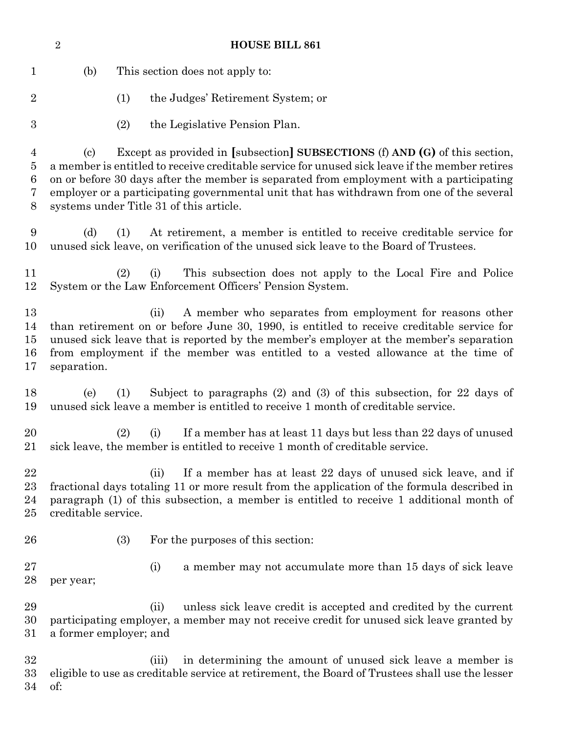| $\overline{2}$                |                                                                                                                                                                                                                                                                                                                                                                                                                        |     | <b>HOUSE BILL 861</b> |                                                                                                                                                                                                                                                                                                                                    |  |  |  |
|-------------------------------|------------------------------------------------------------------------------------------------------------------------------------------------------------------------------------------------------------------------------------------------------------------------------------------------------------------------------------------------------------------------------------------------------------------------|-----|-----------------------|------------------------------------------------------------------------------------------------------------------------------------------------------------------------------------------------------------------------------------------------------------------------------------------------------------------------------------|--|--|--|
| $\mathbf 1$                   | (b)                                                                                                                                                                                                                                                                                                                                                                                                                    |     |                       | This section does not apply to:                                                                                                                                                                                                                                                                                                    |  |  |  |
| $\overline{2}$                |                                                                                                                                                                                                                                                                                                                                                                                                                        | (1) |                       | the Judges' Retirement System; or                                                                                                                                                                                                                                                                                                  |  |  |  |
| $\boldsymbol{3}$              |                                                                                                                                                                                                                                                                                                                                                                                                                        | (2) |                       | the Legislative Pension Plan.                                                                                                                                                                                                                                                                                                      |  |  |  |
| 4<br>5<br>6<br>7<br>8         | Except as provided in [subsection] SUBSECTIONS (f) AND (G) of this section,<br>(c)<br>a member is entitled to receive creditable service for unused sick leave if the member retires<br>on or before 30 days after the member is separated from employment with a participating<br>employer or a participating governmental unit that has withdrawn from one of the several<br>systems under Title 31 of this article. |     |                       |                                                                                                                                                                                                                                                                                                                                    |  |  |  |
| 9<br>10                       | (d)                                                                                                                                                                                                                                                                                                                                                                                                                    | (1) |                       | At retirement, a member is entitled to receive creditable service for<br>unused sick leave, on verification of the unused sick leave to the Board of Trustees.                                                                                                                                                                     |  |  |  |
| 11<br>12                      |                                                                                                                                                                                                                                                                                                                                                                                                                        | (2) | (i)                   | This subsection does not apply to the Local Fire and Police<br>System or the Law Enforcement Officers' Pension System.                                                                                                                                                                                                             |  |  |  |
| 13<br>14<br>15<br>16<br>17    | separation.                                                                                                                                                                                                                                                                                                                                                                                                            |     | (ii)                  | A member who separates from employment for reasons other<br>than retirement on or before June 30, 1990, is entitled to receive creditable service for<br>unused sick leave that is reported by the member's employer at the member's separation<br>from employment if the member was entitled to a vested allowance at the time of |  |  |  |
| 18<br>19                      | (e)                                                                                                                                                                                                                                                                                                                                                                                                                    | (1) |                       | Subject to paragraphs $(2)$ and $(3)$ of this subsection, for 22 days of<br>unused sick leave a member is entitled to receive 1 month of creditable service.                                                                                                                                                                       |  |  |  |
| 20<br>21                      |                                                                                                                                                                                                                                                                                                                                                                                                                        | (2) | (i)                   | If a member has at least 11 days but less than 22 days of unused<br>sick leave, the member is entitled to receive 1 month of creditable service.                                                                                                                                                                                   |  |  |  |
| 22<br>$^{23}$<br>24<br>$25\,$ | creditable service.                                                                                                                                                                                                                                                                                                                                                                                                    |     | (ii)                  | If a member has at least 22 days of unused sick leave, and if<br>fractional days totaling 11 or more result from the application of the formula described in<br>paragraph (1) of this subsection, a member is entitled to receive 1 additional month of                                                                            |  |  |  |
| 26                            |                                                                                                                                                                                                                                                                                                                                                                                                                        | (3) |                       | For the purposes of this section:                                                                                                                                                                                                                                                                                                  |  |  |  |
| 27<br>28                      | per year;                                                                                                                                                                                                                                                                                                                                                                                                              |     | (i)                   | a member may not accumulate more than 15 days of sick leave                                                                                                                                                                                                                                                                        |  |  |  |
| 29<br>30<br>$31\,$            | a former employer; and                                                                                                                                                                                                                                                                                                                                                                                                 |     | (ii)                  | unless sick leave credit is accepted and credited by the current<br>participating employer, a member may not receive credit for unused sick leave granted by                                                                                                                                                                       |  |  |  |
| 32<br>33<br>34                | of:                                                                                                                                                                                                                                                                                                                                                                                                                    |     | (iii)                 | in determining the amount of unused sick leave a member is<br>eligible to use as creditable service at retirement, the Board of Trustees shall use the lesser                                                                                                                                                                      |  |  |  |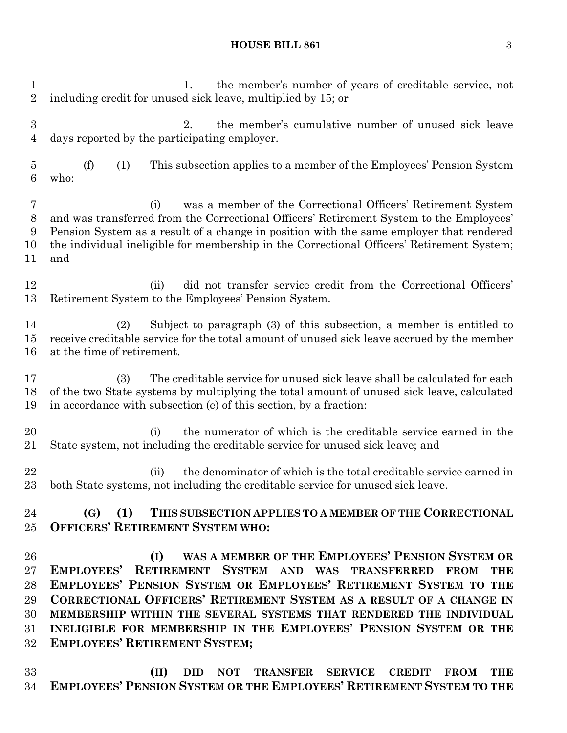#### **HOUSE BILL 861** 3

1. the member's number of years of creditable service, not including credit for unused sick leave, multiplied by 15; or 2. the member's cumulative number of unused sick leave days reported by the participating employer. (f) (1) This subsection applies to a member of the Employees' Pension System who: (i) was a member of the Correctional Officers' Retirement System and was transferred from the Correctional Officers' Retirement System to the Employees' Pension System as a result of a change in position with the same employer that rendered the individual ineligible for membership in the Correctional Officers' Retirement System; and (ii) did not transfer service credit from the Correctional Officers' Retirement System to the Employees' Pension System. (2) Subject to paragraph (3) of this subsection, a member is entitled to receive creditable service for the total amount of unused sick leave accrued by the member at the time of retirement. (3) The creditable service for unused sick leave shall be calculated for each of the two State systems by multiplying the total amount of unused sick leave, calculated in accordance with subsection (e) of this section, by a fraction: 20 (i) the numerator of which is the creditable service earned in the State system, not including the creditable service for unused sick leave; and 22 (ii) the denominator of which is the total creditable service earned in both State systems, not including the creditable service for unused sick leave. **(G) (1) THIS SUBSECTION APPLIES TO A MEMBER OF THE CORRECTIONAL OFFICERS' RETIREMENT SYSTEM WHO: (I) WAS A MEMBER OF THE EMPLOYEES' PENSION SYSTEM OR EMPLOYEES' RETIREMENT SYSTEM AND WAS TRANSFERRED FROM THE EMPLOYEES' PENSION SYSTEM OR EMPLOYEES' RETIREMENT SYSTEM TO THE CORRECTIONAL OFFICERS' RETIREMENT SYSTEM AS A RESULT OF A CHANGE IN MEMBERSHIP WITHIN THE SEVERAL SYSTEMS THAT RENDERED THE INDIVIDUAL INELIGIBLE FOR MEMBERSHIP IN THE EMPLOYEES' PENSION SYSTEM OR THE EMPLOYEES' RETIREMENT SYSTEM;**

 **(II) DID NOT TRANSFER SERVICE CREDIT FROM THE EMPLOYEES' PENSION SYSTEM OR THE EMPLOYEES' RETIREMENT SYSTEM TO THE**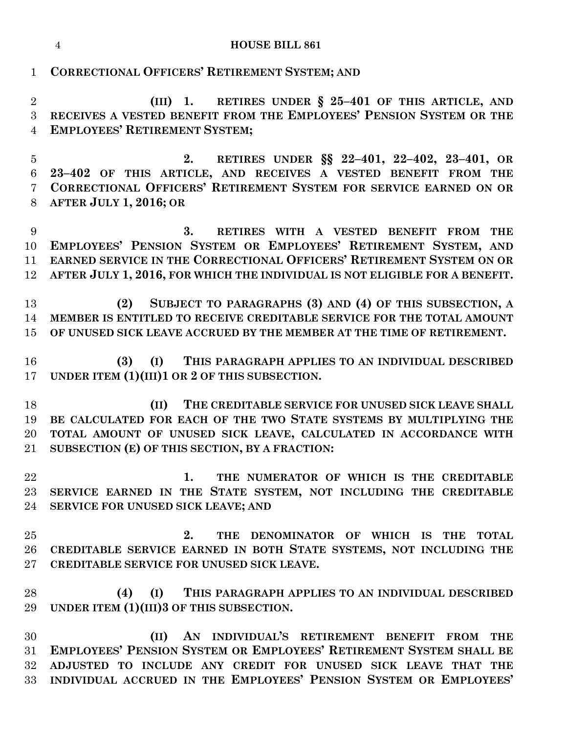|  | <b>HOUSE BILL 861</b> |
|--|-----------------------|

**CORRECTIONAL OFFICERS' RETIREMENT SYSTEM; AND**

 **(III) 1. RETIRES UNDER § 25–401 OF THIS ARTICLE, AND RECEIVES A VESTED BENEFIT FROM THE EMPLOYEES' PENSION SYSTEM OR THE EMPLOYEES' RETIREMENT SYSTEM;**

 **2. RETIRES UNDER §§ 22–401, 22–402, 23–401, OR 23–402 OF THIS ARTICLE, AND RECEIVES A VESTED BENEFIT FROM THE CORRECTIONAL OFFICERS' RETIREMENT SYSTEM FOR SERVICE EARNED ON OR AFTER JULY 1, 2016; OR**

 **3. RETIRES WITH A VESTED BENEFIT FROM THE EMPLOYEES' PENSION SYSTEM OR EMPLOYEES' RETIREMENT SYSTEM, AND EARNED SERVICE IN THE CORRECTIONAL OFFICERS' RETIREMENT SYSTEM ON OR AFTER JULY 1, 2016, FOR WHICH THE INDIVIDUAL IS NOT ELIGIBLE FOR A BENEFIT.**

 **(2) SUBJECT TO PARAGRAPHS (3) AND (4) OF THIS SUBSECTION, A MEMBER IS ENTITLED TO RECEIVE CREDITABLE SERVICE FOR THE TOTAL AMOUNT OF UNUSED SICK LEAVE ACCRUED BY THE MEMBER AT THE TIME OF RETIREMENT.**

 **(3) (I) THIS PARAGRAPH APPLIES TO AN INDIVIDUAL DESCRIBED UNDER ITEM (1)(III)1 OR 2 OF THIS SUBSECTION.**

 **(II) THE CREDITABLE SERVICE FOR UNUSED SICK LEAVE SHALL BE CALCULATED FOR EACH OF THE TWO STATE SYSTEMS BY MULTIPLYING THE TOTAL AMOUNT OF UNUSED SICK LEAVE, CALCULATED IN ACCORDANCE WITH SUBSECTION (E) OF THIS SECTION, BY A FRACTION:**

- **1. THE NUMERATOR OF WHICH IS THE CREDITABLE SERVICE EARNED IN THE STATE SYSTEM, NOT INCLUDING THE CREDITABLE SERVICE FOR UNUSED SICK LEAVE; AND**
- **2. THE DENOMINATOR OF WHICH IS THE TOTAL CREDITABLE SERVICE EARNED IN BOTH STATE SYSTEMS, NOT INCLUDING THE CREDITABLE SERVICE FOR UNUSED SICK LEAVE.**
- **(4) (I) THIS PARAGRAPH APPLIES TO AN INDIVIDUAL DESCRIBED UNDER ITEM (1)(III)3 OF THIS SUBSECTION.**

 **(II) AN INDIVIDUAL'S RETIREMENT BENEFIT FROM THE EMPLOYEES' PENSION SYSTEM OR EMPLOYEES' RETIREMENT SYSTEM SHALL BE ADJUSTED TO INCLUDE ANY CREDIT FOR UNUSED SICK LEAVE THAT THE INDIVIDUAL ACCRUED IN THE EMPLOYEES' PENSION SYSTEM OR EMPLOYEES'**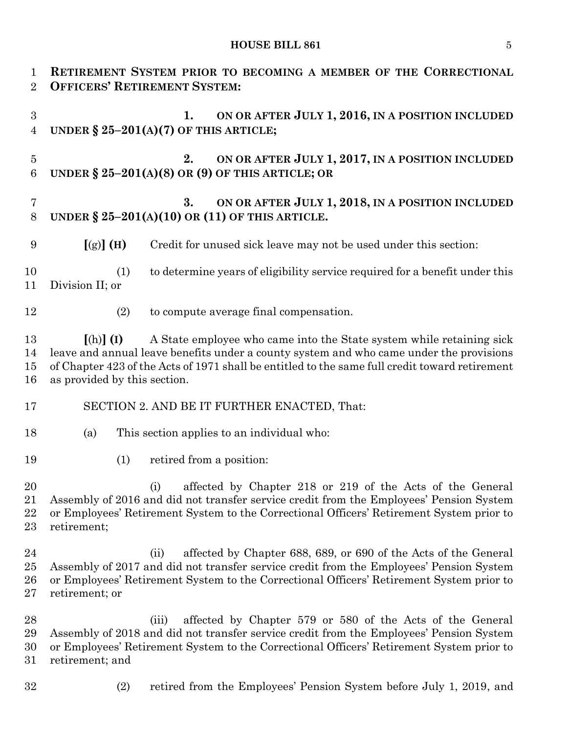# **HOUSE BILL 861** 5

| $\mathbf{1}$<br>$\overline{2}$   | RETIREMENT SYSTEM PRIOR TO BECOMING A MEMBER OF THE CORRECTIONAL<br><b>OFFICERS' RETIREMENT SYSTEM:</b>                                                                                                                                                                                                            |  |  |  |  |  |  |  |
|----------------------------------|--------------------------------------------------------------------------------------------------------------------------------------------------------------------------------------------------------------------------------------------------------------------------------------------------------------------|--|--|--|--|--|--|--|
| 3<br>$\overline{4}$              | ON OR AFTER JULY 1, 2016, IN A POSITION INCLUDED<br>1.<br>UNDER $\S 25-201(A)(7)$ OF THIS ARTICLE;                                                                                                                                                                                                                 |  |  |  |  |  |  |  |
| $\overline{5}$<br>6              | ON OR AFTER JULY 1, 2017, IN A POSITION INCLUDED<br>2.<br>UNDER $\S 25-201(A)(8)$ OR (9) OF THIS ARTICLE; OR                                                                                                                                                                                                       |  |  |  |  |  |  |  |
| 7<br>8                           | ON OR AFTER JULY 1, 2018, IN A POSITION INCLUDED<br>3.<br>UNDER $\S 25-201(A)(10)$ OR (11) OF THIS ARTICLE.                                                                                                                                                                                                        |  |  |  |  |  |  |  |
| 9                                | $[(g)]$ (H)<br>Credit for unused sick leave may not be used under this section:                                                                                                                                                                                                                                    |  |  |  |  |  |  |  |
| 10<br>11                         | to determine years of eligibility service required for a benefit under this<br>(1)<br>Division II; or                                                                                                                                                                                                              |  |  |  |  |  |  |  |
| 12                               | (2)<br>to compute average final compensation.                                                                                                                                                                                                                                                                      |  |  |  |  |  |  |  |
| 13<br>14<br>15<br>16             | A State employee who came into the State system while retaining sick<br>$[(h)]$ $(I)$<br>leave and annual leave benefits under a county system and who came under the provisions<br>of Chapter 423 of the Acts of 1971 shall be entitled to the same full credit toward retirement<br>as provided by this section. |  |  |  |  |  |  |  |
| 17                               | SECTION 2. AND BE IT FURTHER ENACTED, That:                                                                                                                                                                                                                                                                        |  |  |  |  |  |  |  |
| 18                               | (a)<br>This section applies to an individual who:                                                                                                                                                                                                                                                                  |  |  |  |  |  |  |  |
| 19                               | retired from a position:<br>(1)                                                                                                                                                                                                                                                                                    |  |  |  |  |  |  |  |
| 20<br>21<br>22<br>23             | affected by Chapter 218 or 219 of the Acts of the General<br>(i)<br>Assembly of 2016 and did not transfer service credit from the Employees' Pension System<br>or Employees' Retirement System to the Correctional Officers' Retirement System prior to<br>retirement;                                             |  |  |  |  |  |  |  |
| 24<br>$25\,$<br>$26\,$<br>$27\,$ | affected by Chapter 688, 689, or 690 of the Acts of the General<br>(ii)<br>Assembly of 2017 and did not transfer service credit from the Employees' Pension System<br>or Employees' Retirement System to the Correctional Officers' Retirement System prior to<br>retirement; or                                   |  |  |  |  |  |  |  |
| 28<br>29<br>30<br>$31\,$         | affected by Chapter 579 or 580 of the Acts of the General<br>(iii)<br>Assembly of 2018 and did not transfer service credit from the Employees' Pension System<br>or Employees' Retirement System to the Correctional Officers' Retirement System prior to<br>retirement; and                                       |  |  |  |  |  |  |  |

- 
- (2) retired from the Employees' Pension System before July 1, 2019, and